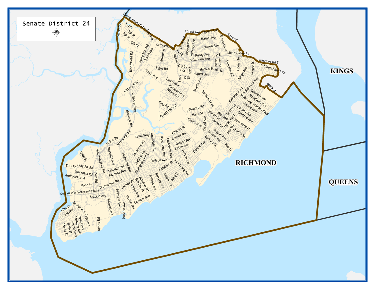